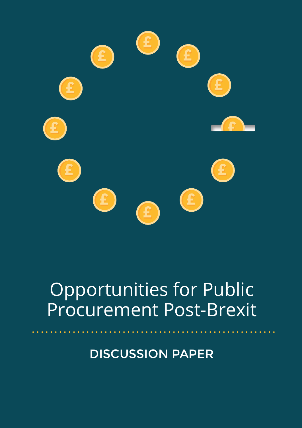

# Opportunities for Public Procurement Post-Brexit

DISCUSSION PAPER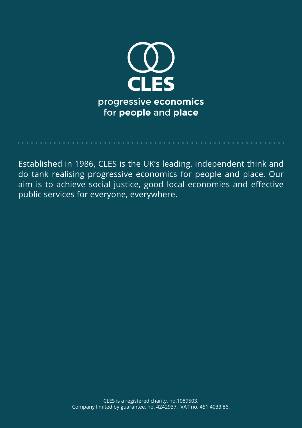

Established in 1986, CLES is the UK's leading, independent think and do tank realising progressive economics for people and place. Our aim is to achieve social justice, good local economies and effective public services for everyone, everywhere.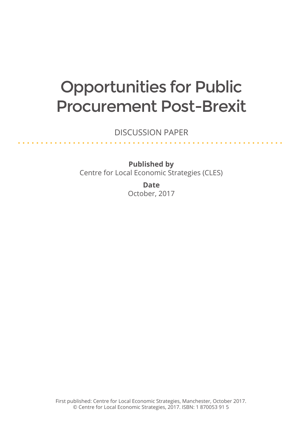# Opportunities for Public Procurement Post-Brexit

DISCUSSION PAPER

. . . . . . . . . . . . . . . . . .

<u>a a a a a a a a a</u>

**Published by** Centre for Local Economic Strategies (CLES)

> **Date** October, 2017

First published: Centre for Local Economic Strategies, Manchester, October 2017. © Centre for Local Economic Strategies, 2017. ISBN: 1 870053 91 5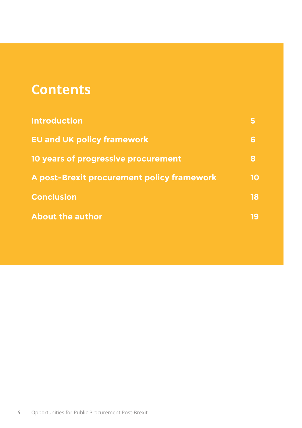# **Contents**

| <b>Introduction</b>                        | 5  |
|--------------------------------------------|----|
| <b>EU and UK policy framework</b>          | 6  |
| 10 years of progressive procurement        | 8  |
| A post-Brexit procurement policy framework | 10 |
| <b>Conclusion</b>                          | 18 |
| <b>About the author</b>                    | 19 |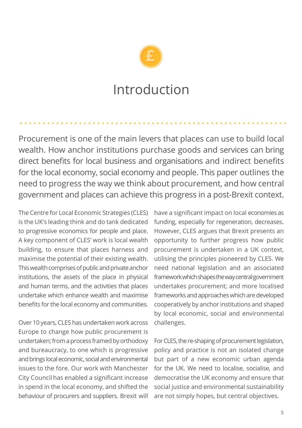

# Introduction

Procurement is one of the main levers that places can use to build local wealth. How anchor institutions purchase goods and services can bring direct benefits for local business and organisations and indirect benefits for the local economy, social economy and people. This paper outlines the need to progress the way we think about procurement, and how central government and places can achieve this progress in a post-Brexit context.

The Centre for Local Economic Strategies (CLES) is the UK's leading think and do tank dedicated to progressive economics for people and place. A key component of CLES' work is local wealth building, to ensure that places harness and maximise the potential of their existing wealth. This wealth comprises of public and private anchor institutions, the assets of the place in physical and human terms, and the activities that places undertake which enhance wealth and maximise benefits for the local economy and communities.

Over 10 years, CLES has undertaken work across Europe to change how public procurement is undertaken; from a process framed by orthodoxy and bureaucracy, to one which is progressive and brings local economic, social and environmental issues to the fore. Our work with Manchester City Council has enabled a significant increase in spend in the local economy, and shifted the behaviour of procurers and suppliers. Brexit will

have a significant impact on local economies as funding, especially for regeneration, decreases. However, CLES argues that Brexit presents an opportunity to further progress how public procurement is undertaken in a UK context, utilising the principles pioneered by CLES. We need national legislation and an associated framework which shapes the way central government undertakes procurement; and more localised frameworks and approaches which are developed cooperatively by anchor institutions and shaped by local economic, social and environmental challenges.

For CLES, the re-shaping of procurement legislation, policy and practice is not an isolated change but part of a new economic urban agenda for the UK. We need to localise, socialise, and democratise the UK economy and ensure that social justice and environmental sustainability are not simply hopes, but central objectives.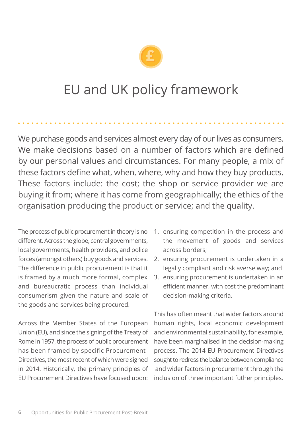

# EU and UK policy framework

We purchase goods and services almost every day of our lives as consumers. We make decisions based on a number of factors which are defined by our personal values and circumstances. For many people, a mix of these factors define what, when, where, why and how they buy products. These factors include: the cost; the shop or service provider we are buying it from; where it has come from geographically; the ethics of the organisation producing the product or service; and the quality.

The process of public procurement in theory is no different. Across the globe, central governments, local governments, health providers, and police forces (amongst others) buy goods and services. The difference in public procurement is that it is framed by a much more formal, complex and bureaucratic process than individual consumerism given the nature and scale of the goods and services being procured.

Across the Member States of the European Union (EU), and since the signing of the Treaty of Rome in 1957, the process of public procurement has been framed by specific Procurement Directives, the most recent of which were signed in 2014. Historically, the primary principles of EU Procurement Directives have focused upon:

- 1. ensuring competition in the process and the movement of goods and services across borders;
- 2. ensuring procurement is undertaken in a legally compliant and risk averse way; and
- 3. ensuring procurement is undertaken in an efficient manner, with cost the predominant decision-making criteria.

This has often meant that wider factors around human rights, local economic development and environmental sustainability, for example, have been marginalised in the decision-making process. The 2014 EU Procurement Directives sought to redress the balance between compliance and wider factors in procurement through the inclusion of three important futher principles.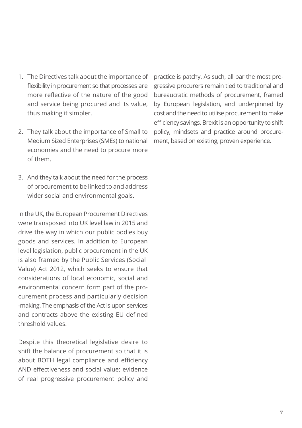- 1. The Directives talk about the importance of flexibility in procurement so that processes are more reflective of the nature of the good and service being procured and its value, thus making it simpler.
- 2. They talk about the importance of Small to Medium Sized Enterprises (SMEs) to national economies and the need to procure more of them.
- 3. And they talk about the need for the process of procurement to be linked to and address wider social and environmental goals.

In the UK, the European Procurement Directives were transposed into UK level law in 2015 and drive the way in which our public bodies buy goods and services. In addition to European level legislation, public procurement in the UK is also framed by the Public Services (Social Value) Act 2012, which seeks to ensure that considerations of local economic, social and environmental concern form part of the procurement process and particularly decision -making. The emphasis of the Act is upon services and contracts above the existing EU defined threshold values.

Despite this theoretical legislative desire to shift the balance of procurement so that it is about BOTH legal compliance and efficiency AND effectiveness and social value; evidence of real progressive procurement policy and

practice is patchy. As such, all bar the most progressive procurers remain tied to traditional and bureaucratic methods of procurement, framed by European legislation, and underpinned by cost and the need to utilise procurement to make efficiency savings. Brexit is an opportunity to shift policy, mindsets and practice around procurement, based on existing, proven experience.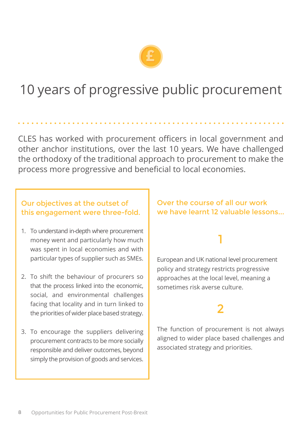

# 10 years of progressive public procurement

CLES has worked with procurement officers in local government and other anchor institutions, over the last 10 years. We have challenged the orthodoxy of the traditional approach to procurement to make the process more progressive and beneficial to local economies.

### Our objectives at the outset of this engagement were three-fold.

- 1. To understand in-depth where procurement money went and particularly how much was spent in local economies and with particular types of supplier such as SMEs.
- 2. To shift the behaviour of procurers so that the process linked into the economic, social, and environmental challenges facing that locality and in turn linked to the priorities of wider place based strategy.
- 3. To encourage the suppliers delivering procurement contracts to be more socially responsible and deliver outcomes, beyond simply the provision of goods and services.

### Over the course of all our work we have learnt 12 valuable lessons...

1

European and UK national level procurement policy and strategy restricts progressive approaches at the local level, meaning a sometimes risk averse culture.

# 2

The function of procurement is not always aligned to wider place based challenges and associated strategy and priorities.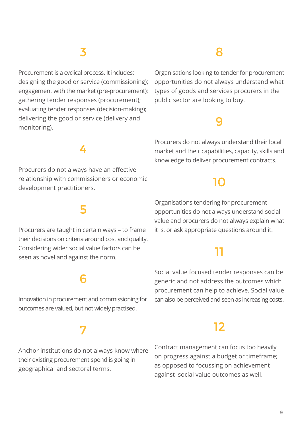# 3

Procurement is a cyclical process. It includes: designing the good or service (commissioning); engagement with the market (pre-procurement); gathering tender responses (procurement); evaluating tender responses (decision-making); delivering the good or service (delivery and monitoring).

## 8

Organisations looking to tender for procurement opportunities do not always understand what types of goods and services procurers in the public sector are looking to buy.

## 9

Procurers do not always understand their local market and their capabilities, capacity, skills and knowledge to deliver procurement contracts.

## 10

Organisations tendering for procurement opportunities do not always understand social value and procurers do not always explain what it is, or ask appropriate questions around it.

## 11

Social value focused tender responses can be generic and not address the outcomes which procurement can help to achieve. Social value can also be perceived and seen as increasing costs.

## 12

Contract management can focus too heavily on progress against a budget or timeframe; as opposed to focussing on achievement against social value outcomes as well.

# 4

Procurers do not always have an effective relationship with commissioners or economic development practitioners.

## 5

Procurers are taught in certain ways – to frame their decisions on criteria around cost and quality. Considering wider social value factors can be seen as novel and against the norm.

## 6

Innovation in procurement and commissioning for outcomes are valued, but not widely practised.

## 7

Anchor institutions do not always know where their existing procurement spend is going in geographical and sectoral terms.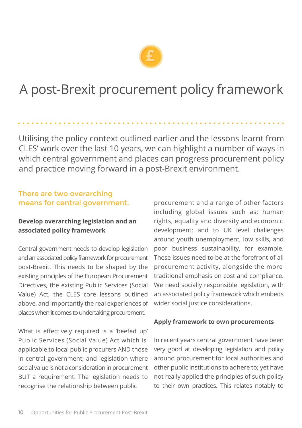

# A post-Brexit procurement policy framework

Utilising the policy context outlined earlier and the lessons learnt from CLES' work over the last 10 years, we can highlight a number of ways in which central government and places can progress procurement policy and practice moving forward in a post-Brexit environment.

#### There are two overarching means for central government.

#### **Develop overarching legislation and an associated policy framework**

Central government needs to develop legislation and an associated policy framework for procurement post-Brexit. This needs to be shaped by the existing principles of the European Procurement Directives, the existing Public Services (Social Value) Act, the CLES core lessons outlined above, and importantly the real experiences of places when it comes to undertaking procurement.

What is effectively required is a 'beefed up' Public Services (Social Value) Act which is applicable to local public procurers AND those in central government; and legislation where social value is not a consideration in procurement BUT a requirement. The legislation needs to recognise the relationship between public

procurement and a range of other factors including global issues such as: human rights, equality and diversity and economic development; and to UK level challenges around youth unemployment, low skills, and poor business sustainability, for example. These issues need to be at the forefront of all procurement activity, alongside the more traditional emphasis on cost and compliance. We need socially responsible legislation, with an associated policy framework which embeds wider social justice considerations.

#### **Apply framework to own procurements**

In recent years central government have been very good at developing legislation and policy around procurement for local authorities and other public institutions to adhere to; yet have not really applied the principles of such policy to their own practices. This relates notably to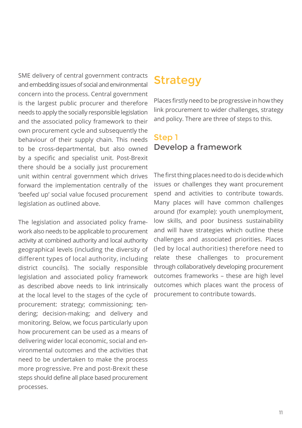SME delivery of central government contracts and embedding issues of social and environmental concern into the process. Central government is the largest public procurer and therefore needs to apply the socially responsible legislation and the associated policy framework to their own procurement cycle and subsequently the behaviour of their supply chain. This needs to be cross-departmental, but also owned by a specific and specialist unit. Post-Brexit there should be a socially just procurement unit within central government which drives forward the implementation centrally of the 'beefed up' social value focused procurement legislation as outlined above.

The legislation and associated policy framework also needs to be applicable to procurement activity at combined authority and local authority geographical levels (including the diversity of different types of local authority, including district councils). The socially responsible legislation and associated policy framework as described above needs to link intrinsically at the local level to the stages of the cycle of procurement: strategy; commissioning; tendering; decision-making; and delivery and monitoring. Below, we focus particularly upon how procurement can be used as a means of delivering wider local economic, social and environmental outcomes and the activities that need to be undertaken to make the process more progressive. Pre and post-Brexit these steps should define all place based procurement processes.

# Strategy

Places firstly need to be progressive in how they link procurement to wider challenges, strategy and policy. There are three of steps to this.

### Step 1 Develop a framework

The first thing places need to do is decide which issues or challenges they want procurement spend and activities to contribute towards. Many places will have common challenges around (for example): youth unemployment, low skills, and poor business sustainability and will have strategies which outline these challenges and associated priorities. Places (led by local authorities) therefore need to relate these challenges to procurement through collaboratively developing procurement outcomes frameworks – these are high level outcomes which places want the process of procurement to contribute towards.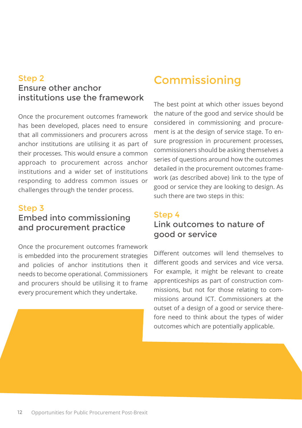### institutions use the framework Step 2 Ensure other anchor

 In terms of procurement processes, Once the procurement outcomes framework has been developed, places need to ensure that all commissioners and procurers across anchor institutions are utilising it as part of their processes. This would ensure a common approach to procurement across anchor institutions and a wider set of institutions responding to address common issues or challenges through the tender process.

### Step 3 Embed into commissioning and procurement practice

Once the procurement outcomes framework is embedded into the procurement strategies and policies of anchor institutions then it needs to become operational. Commissioners and procurers should be utilising it to frame every procurement which they undertake.

# Commissioning

The best point at which other issues beyond the nature of the good and service should be considered in commissioning and procurement is at the design of service stage. To ensure progression in procurement processes, commissioners should be asking themselves a series of questions around how the outcomes detailed in the procurement outcomes framework (as described above) link to the type of good or service they are looking to design. As such there are two steps in this:

### Step 4 Link outcomes to nature of good or service

Different outcomes will lend themselves to different goods and services and vice versa. For example, it might be relevant to create apprenticeships as part of construction commissions, but not for those relating to commissions around ICT. Commissioners at the outset of a design of a good or service therefore need to think about the types of wider outcomes which are potentially applicable.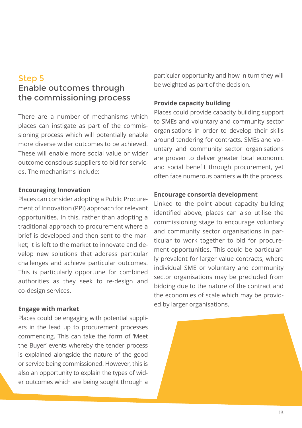### Step 5 Enable outcomes through the commissioning process

There are a number of mechanisms which places can instigate as part of the commissioning process which will potentially enable more diverse wider outcomes to be achieved. These will enable more social value or wider outcome conscious suppliers to bid for services. The mechanisms include:

#### **Encouraging Innovation**

Places can consider adopting a Public Procurement of Innovation (PPI) approach for relevant opportunities. In this, rather than adopting a traditional approach to procurement where a brief is developed and then sent to the market; it is left to the market to innovate and develop new solutions that address particular challenges and achieve particular outcomes. This is particularly opportune for combined authorities as they seek to re-design and co-design services.

#### **Engage with market**

Places could be engaging with potential suppliers in the lead up to procurement processes commencing. This can take the form of 'Meet the Buyer' events whereby the tender process is explained alongside the nature of the good or service being commissioned. However, this is also an opportunity to explain the types of wider outcomes which are being sought through a

particular opportunity and how in turn they will be weighted as part of the decision.

#### **Provide capacity building**

Places could provide capacity building support to SMEs and voluntary and community sector organisations in order to develop their skills around tendering for contracts. SMEs and voluntary and community sector organisations are proven to deliver greater local economic and social benefit through procurement, yet often face numerous barriers with the process.

#### **Encourage consortia development**

Linked to the point about capacity building identified above, places can also utilise the commissioning stage to encourage voluntary and community sector organisations in particular to work together to bid for procurement opportunities. This could be particularly prevalent for larger value contracts, where individual SME or voluntary and community sector organisations may be precluded from bidding due to the nature of the contract and the economies of scale which may be provided by larger organisations.

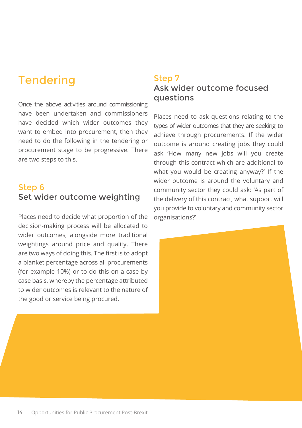## **Tendering**

Once the above activities around commissioning have been undertaken and commissioners have decided which wider outcomes they want to embed into procurement, then they need to do the following in the tendering or procurement stage to be progressive. There are two steps to this.

### Step 6 Set wider outcome weighting

Places need to decide what proportion of the decision-making process will be allocated to wider outcomes, alongside more traditional weightings around price and quality. There are two ways of doing this. The first is to adopt a blanket percentage across all procurements (for example 10%) or to do this on a case by case basis, whereby the percentage attributed to wider outcomes is relevant to the nature of the good or service being procured.

### Step 7 Ask wider outcome focused questions

Places need to ask questions relating to the types of wider outcomes that they are seeking to achieve through procurements. If the wider outcome is around creating jobs they could ask 'How many new jobs will you create through this contract which are additional to what you would be creating anyway?' If the wider outcome is around the voluntary and community sector they could ask: 'As part of the delivery of this contract, what support will you provide to voluntary and community sector organisations?'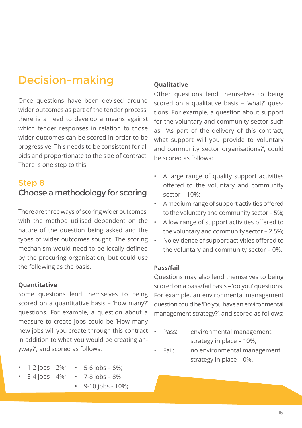# Decision-making

Once questions have been devised around wider outcomes as part of the tender process, there is a need to develop a means against which tender responses in relation to those wider outcomes can be scored in order to be progressive. This needs to be consistent for all bids and proportionate to the size of contract. There is one step to this.

### Step 8 Choose a methodology for scoring

There are three ways of scoring wider outcomes, with the method utilised dependent on the nature of the question being asked and the types of wider outcomes sought. The scoring mechanism would need to be locally defined by the procuring organisation, but could use the following as the basis.

#### **Quantitative**

Some questions lend themselves to being scored on a quantitative basis – 'how many?' questions. For example, a question about a measure to create jobs could be 'How many new jobs will you create through this contract in addition to what you would be creating anyway?', and scored as follows:

- 1-2 jobs  $2\%$ ;
- 5-6 jobs  $-6\%$ ;
- $3-4$  jobs  $-4\%$ ; • 7-8 jobs – 8%
	- 9-10 jobs 10%;

#### **Qualitative**

Other questions lend themselves to being scored on a qualitative basis – 'what?' questions. For example, a question about support for the voluntary and community sector such as 'As part of the delivery of this contract, what support will you provide to voluntary and community sector organisations?', could be scored as follows:

- A large range of quality support activities offered to the voluntary and community sector – 10%;
- A medium range of support activities offered to the voluntary and community sector – 5%;
- A low range of support activities offered to the voluntary and community sector – 2.5%;
- No evidence of support activities offered to the voluntary and community sector – 0%.

#### **Pass/fail**

Questions may also lend themselves to being scored on a pass/fail basis – 'do you' questions. For example, an environmental management question could be 'Do you have an environmental management strategy?', and scored as follows:

- Pass: environmental management strategy in place – 10%;
- Fail: no environmental management strategy in place – 0%.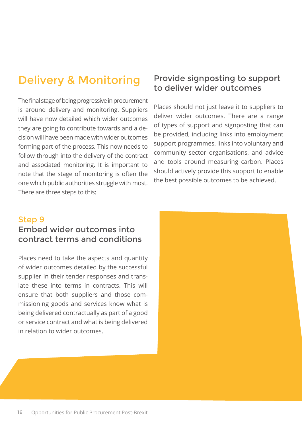# Delivery & Monitoring

The final stage of being progressive in procurement is around delivery and monitoring. Suppliers will have now detailed which wider outcomes they are going to contribute towards and a decision will have been made with wider outcomes forming part of the process. This now needs to follow through into the delivery of the contract and associated monitoring. It is important to note that the stage of monitoring is often the one which public authorities struggle with most. There are three steps to this:

### Provide signposting to support to deliver wider outcomes

Places should not just leave it to suppliers to deliver wider outcomes. There are a range of types of support and signposting that can be provided, including links into employment support programmes, links into voluntary and community sector organisations, and advice and tools around measuring carbon. Places should actively provide this support to enable the best possible outcomes to be achieved.

### Step 9 Embed wider outcomes into contract terms and conditions

Places need to take the aspects and quantity of wider outcomes detailed by the successful supplier in their tender responses and translate these into terms in contracts. This will ensure that both suppliers and those commissioning goods and services know what is being delivered contractually as part of a good or service contract and what is being delivered in relation to wider outcomes.

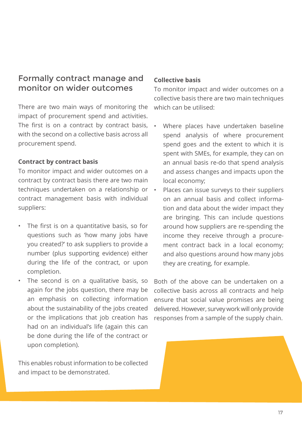### Formally contract manage and monitor on wider outcomes

There are two main ways of monitoring the impact of procurement spend and activities. The first is on a contract by contract basis, with the second on a collective basis across all procurement spend.

#### **Contract by contract basis**

To monitor impact and wider outcomes on a contract by contract basis there are two main techniques undertaken on a relationship or contract management basis with individual suppliers:

- The first is on a quantitative basis, so for questions such as 'how many jobs have you created?' to ask suppliers to provide a number (plus supporting evidence) either during the life of the contract, or upon completion.
- The second is on a qualitative basis, so again for the jobs question, there may be an emphasis on collecting information about the sustainability of the jobs created or the implications that job creation has had on an individual's life (again this can be done during the life of the contract or upon completion).

This enables robust information to be collected and impact to be demonstrated.

#### **Collective basis**

To monitor impact and wider outcomes on a collective basis there are two main techniques which can be utilised:

- Where places have undertaken baseline spend analysis of where procurement spend goes and the extent to which it is spent with SMEs, for example, they can on an annual basis re-do that spend analysis and assess changes and impacts upon the local economy;
- Places can issue surveys to their suppliers on an annual basis and collect information and data about the wider impact they are bringing. This can include questions around how suppliers are re-spending the income they receive through a procurement contract back in a local economy; and also questions around how many jobs they are creating, for example.

Both of the above can be undertaken on a collective basis across all contracts and help ensure that social value promises are being delivered. However, survey work will only provide responses from a sample of the supply chain.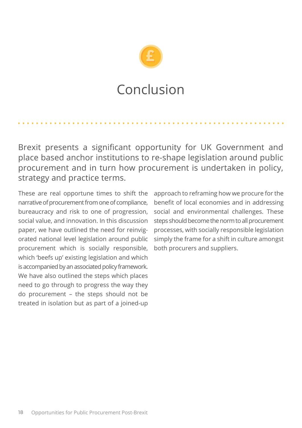

# Conclusion

Brexit presents a significant opportunity for UK Government and place based anchor institutions to re-shape legislation around public procurement and in turn how procurement is undertaken in policy, strategy and practice terms.

These are real opportune times to shift the narrative of procurement from one of compliance, bureaucracy and risk to one of progression, social value, and innovation. In this discussion paper, we have outlined the need for reinvigorated national level legislation around public procurement which is socially responsible, which 'beefs up' existing legislation and which is accompanied by an associated policy framework. We have also outlined the steps which places need to go through to progress the way they do procurement – the steps should not be treated in isolation but as part of a joined-up

approach to reframing how we procure for the benefit of local economies and in addressing social and environmental challenges. These steps should become the norm to all procurement processes, with socially responsible legislation simply the frame for a shift in culture amongst both procurers and suppliers.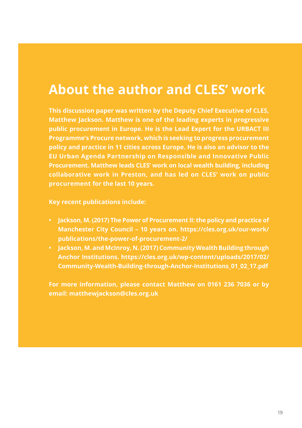# **About the author and CLES' work**

**This discussion paper was written by the Deputy Chief Executive of CLES, Matthew Jackson. Matthew is one of the leading experts in progressive public procurement in Europe. He is the Lead Expert for the URBACT III Programme's Procure network, which is seeking to progress procurement policy and practice in 11 cities across Europe. He is also an advisor to the EU Urban Agenda Partnership on Responsible and Innovative Public Procurement. Matthew leads CLES' work on local wealth building, including collaborative work in Preston, and has led on CLES' work on public procurement for the last 10 years.** 

**Key recent publications include:** 

- **• Jackson, M. (2017) The Power of Procurement II: the policy and practice of Manchester City Council – 10 years on. https://cles.org.uk/our-work/ publications/the-power-of-procurement-2/**
- **• Jackson, M. and McInroy, N. (2017) Community Wealth Building through Anchor Institutions. https://cles.org.uk/wp-content/uploads/2017/02/ Community-Wealth-Building-through-Anchor-Institutions\_01\_02\_17.pdf**

**For more information, please contact Matthew on 0161 236 7036 or by email: matthewjackson@cles.org.uk**